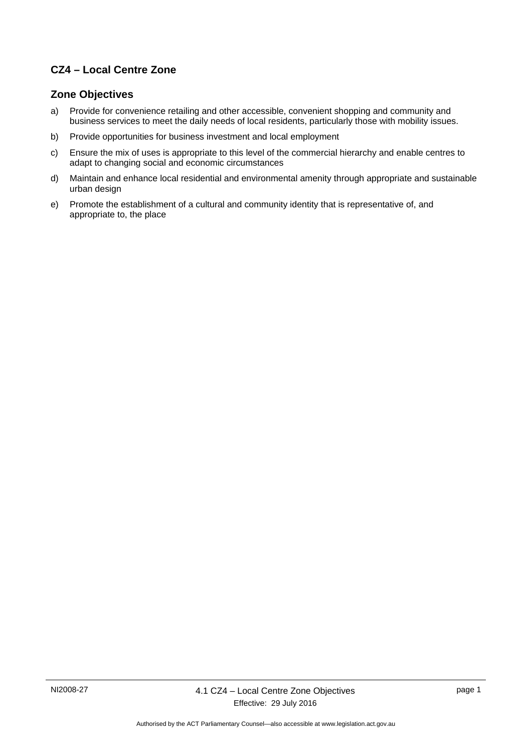## **CZ4 – Local Centre Zone**

### **Zone Objectives**

- a) Provide for convenience retailing and other accessible, convenient shopping and community and business services to meet the daily needs of local residents, particularly those with mobility issues.
- b) Provide opportunities for business investment and local employment
- c) Ensure the mix of uses is appropriate to this level of the commercial hierarchy and enable centres to adapt to changing social and economic circumstances
- d) Maintain and enhance local residential and environmental amenity through appropriate and sustainable urban design
- e) Promote the establishment of a cultural and community identity that is representative of, and appropriate to, the place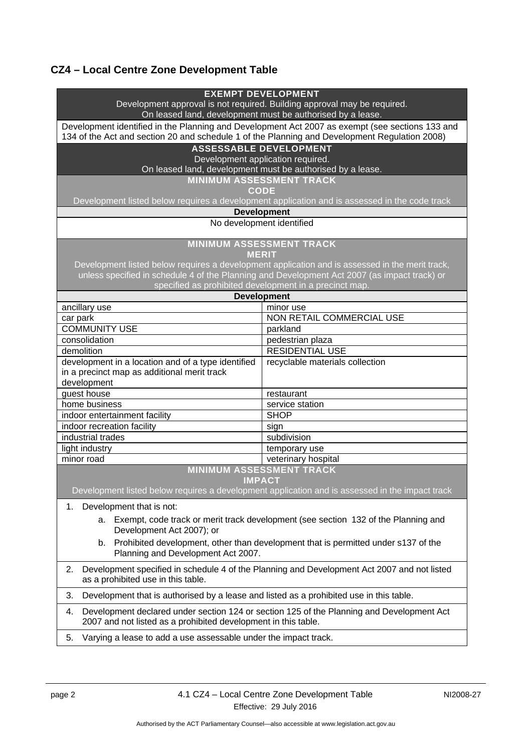# **CZ4 – Local Centre Zone Development Table**

| <b>EXEMPT DEVELOPMENT</b><br>Development approval is not required. Building approval may be required.<br>On leased land, development must be authorised by a lease.                              |  |
|--------------------------------------------------------------------------------------------------------------------------------------------------------------------------------------------------|--|
|                                                                                                                                                                                                  |  |
| Development identified in the Planning and Development Act 2007 as exempt (see sections 133 and<br>134 of the Act and section 20 and schedule 1 of the Planning and Development Regulation 2008) |  |
| <b>ASSESSABLE DEVELOPMENT</b>                                                                                                                                                                    |  |
| Development application required.                                                                                                                                                                |  |
| On leased land, development must be authorised by a lease.                                                                                                                                       |  |
| <b>MINIMUM ASSESSMENT TRACK</b>                                                                                                                                                                  |  |
| <b>CODE</b>                                                                                                                                                                                      |  |
| Development listed below requires a development application and is assessed in the code track                                                                                                    |  |
| <b>Development</b>                                                                                                                                                                               |  |
| No development identified                                                                                                                                                                        |  |
| <b>MINIMUM ASSESSMENT TRACK</b>                                                                                                                                                                  |  |
| <b>MERIT</b>                                                                                                                                                                                     |  |
| Development listed below requires a development application and is assessed in the merit track,                                                                                                  |  |
| unless specified in schedule 4 of the Planning and Development Act 2007 (as impact track) or<br>specified as prohibited development in a precinct map.                                           |  |
| <b>Development</b>                                                                                                                                                                               |  |
| ancillary use<br>minor use                                                                                                                                                                       |  |
| NON RETAIL COMMERCIAL USE<br>car park                                                                                                                                                            |  |
| <b>COMMUNITY USE</b><br>parkland                                                                                                                                                                 |  |
| consolidation<br>pedestrian plaza                                                                                                                                                                |  |
| <b>RESIDENTIAL USE</b><br>demolition                                                                                                                                                             |  |
| development in a location and of a type identified<br>recyclable materials collection                                                                                                            |  |
| in a precinct map as additional merit track                                                                                                                                                      |  |
| development                                                                                                                                                                                      |  |
| guest house<br>restaurant                                                                                                                                                                        |  |
| home business<br>service station                                                                                                                                                                 |  |
| indoor entertainment facility<br><b>SHOP</b>                                                                                                                                                     |  |
| indoor recreation facility<br>sign                                                                                                                                                               |  |
| industrial trades<br>subdivision                                                                                                                                                                 |  |
| light industry<br>temporary use                                                                                                                                                                  |  |
| minor road<br>veterinary hospital                                                                                                                                                                |  |
| <b>MINIMUM ASSESSMENT TRACK</b>                                                                                                                                                                  |  |
| <b>IMPACT</b>                                                                                                                                                                                    |  |
| Development listed below requires a development application and is assessed in the impact track                                                                                                  |  |
| Development that is not:<br>1.                                                                                                                                                                   |  |
| Exempt, code track or merit track development (see section 132 of the Planning and<br>а.<br>Development Act 2007); or                                                                            |  |
| Prohibited development, other than development that is permitted under s137 of the<br>b.                                                                                                         |  |
|                                                                                                                                                                                                  |  |
| Planning and Development Act 2007.                                                                                                                                                               |  |
| Development specified in schedule 4 of the Planning and Development Act 2007 and not listed<br>2.<br>as a prohibited use in this table.                                                          |  |
| 3.<br>Development that is authorised by a lease and listed as a prohibited use in this table.                                                                                                    |  |
| Development declared under section 124 or section 125 of the Planning and Development Act<br>4.<br>2007 and not listed as a prohibited development in this table.                                |  |